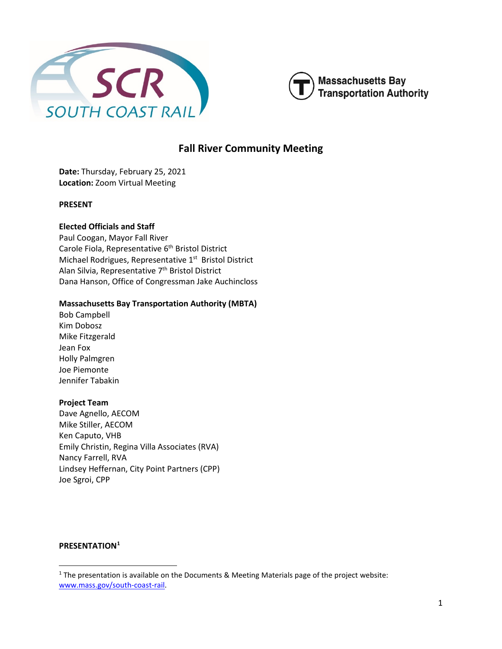



# **Fall River Community Meeting**

**Date:** Thursday, February 25, 2021 **Location:** Zoom Virtual Meeting

### **PRESENT**

### **Elected Officials and Staff**

Paul Coogan, Mayor Fall River Carole Fiola, Representative 6<sup>th</sup> Bristol District Michael Rodrigues, Representative 1<sup>st</sup> Bristol District Alan Silvia, Representative 7<sup>th</sup> Bristol District Dana Hanson, Office of Congressman Jake Auchincloss

#### **Massachusetts Bay Transportation Authority (MBTA)**

Bob Campbell Kim Dobosz Mike Fitzgerald Jean Fox Holly Palmgren Joe Piemonte Jennifer Tabakin

#### **Project Team**

Dave Agnello, AECOM Mike Stiller, AECOM Ken Caputo, VHB Emily Christin, Regina Villa Associates (RVA) Nancy Farrell, RVA Lindsey Heffernan, City Point Partners (CPP) Joe Sgroi, CPP

#### **PRESENTATION[1](#page-0-0)**

<span id="page-0-0"></span><sup>1</sup> The presentation is available on the Documents & Meeting Materials page of the project website: [www.mass.gov/south-coast-rail.](http://www.mass.gov/south-coast-rail)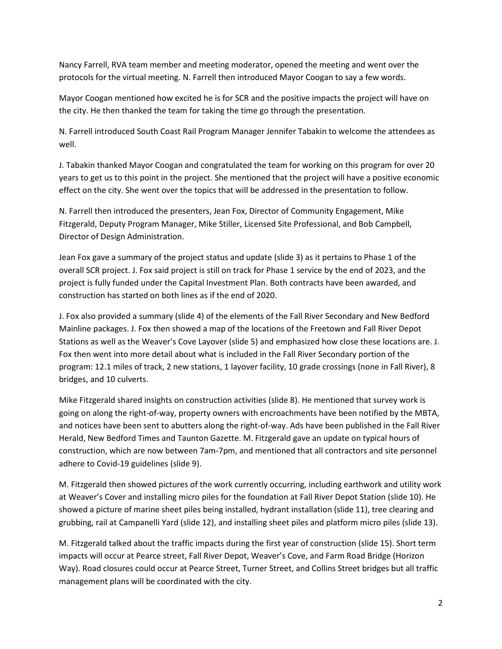Nancy Farrell, RVA team member and meeting moderator, opened the meeting and went over the protocols for the virtual meeting. N. Farrell then introduced Mayor Coogan to say a few words.

Mayor Coogan mentioned how excited he is for SCR and the positive impacts the project will have on the city. He then thanked the team for taking the time go through the presentation.

N. Farrell introduced South Coast Rail Program Manager Jennifer Tabakin to welcome the attendees as well.

J. Tabakin thanked Mayor Coogan and congratulated the team for working on this program for over 20 years to get us to this point in the project. She mentioned that the project will have a positive economic effect on the city. She went over the topics that will be addressed in the presentation to follow.

N. Farrell then introduced the presenters, Jean Fox, Director of Community Engagement, Mike Fitzgerald, Deputy Program Manager, Mike Stiller, Licensed Site Professional, and Bob Campbell, Director of Design Administration.

Jean Fox gave a summary of the project status and update (slide 3) as it pertains to Phase 1 of the overall SCR project. J. Fox said project is still on track for Phase 1 service by the end of 2023, and the project is fully funded under the Capital Investment Plan. Both contracts have been awarded, and construction has started on both lines as if the end of 2020.

J. Fox also provided a summary (slide 4) of the elements of the Fall River Secondary and New Bedford Mainline packages. J. Fox then showed a map of the locations of the Freetown and Fall River Depot Stations as well as the Weaver's Cove Layover (slide 5) and emphasized how close these locations are. J. Fox then went into more detail about what is included in the Fall River Secondary portion of the program: 12.1 miles of track, 2 new stations, 1 layover facility, 10 grade crossings (none in Fall River), 8 bridges, and 10 culverts.

Mike Fitzgerald shared insights on construction activities (slide 8). He mentioned that survey work is going on along the right-of-way, property owners with encroachments have been notified by the MBTA, and notices have been sent to abutters along the right-of-way. Ads have been published in the Fall River Herald, New Bedford Times and Taunton Gazette. M. Fitzgerald gave an update on typical hours of construction, which are now between 7am-7pm, and mentioned that all contractors and site personnel adhere to Covid-19 guidelines (slide 9).

M. Fitzgerald then showed pictures of the work currently occurring, including earthwork and utility work at Weaver's Cover and installing micro piles for the foundation at Fall River Depot Station (slide 10). He showed a picture of marine sheet piles being installed, hydrant installation (slide 11), tree clearing and grubbing, rail at Campanelli Yard (slide 12), and installing sheet piles and platform micro piles (slide 13).

M. Fitzgerald talked about the traffic impacts during the first year of construction (slide 15). Short term impacts will occur at Pearce street, Fall River Depot, Weaver's Cove, and Farm Road Bridge (Horizon Way). Road closures could occur at Pearce Street, Turner Street, and Collins Street bridges but all traffic management plans will be coordinated with the city.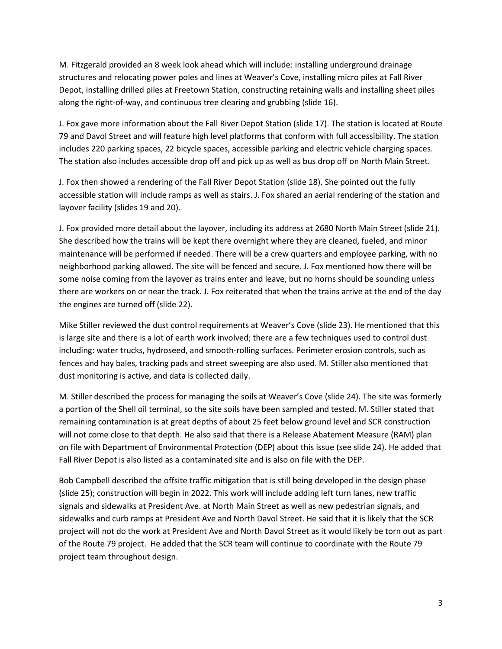M. Fitzgerald provided an 8 week look ahead which will include: installing underground drainage structures and relocating power poles and lines at Weaver's Cove, installing micro piles at Fall River Depot, installing drilled piles at Freetown Station, constructing retaining walls and installing sheet piles along the right-of-way, and continuous tree clearing and grubbing (slide 16).

J. Fox gave more information about the Fall River Depot Station (slide 17). The station is located at Route 79 and Davol Street and will feature high level platforms that conform with full accessibility. The station includes 220 parking spaces, 22 bicycle spaces, accessible parking and electric vehicle charging spaces. The station also includes accessible drop off and pick up as well as bus drop off on North Main Street.

J. Fox then showed a rendering of the Fall River Depot Station (slide 18). She pointed out the fully accessible station will include ramps as well as stairs. J. Fox shared an aerial rendering of the station and layover facility (slides 19 and 20).

J. Fox provided more detail about the layover, including its address at 2680 North Main Street (slide 21). She described how the trains will be kept there overnight where they are cleaned, fueled, and minor maintenance will be performed if needed. There will be a crew quarters and employee parking, with no neighborhood parking allowed. The site will be fenced and secure. J. Fox mentioned how there will be some noise coming from the layover as trains enter and leave, but no horns should be sounding unless there are workers on or near the track. J. Fox reiterated that when the trains arrive at the end of the day the engines are turned off (slide 22).

Mike Stiller reviewed the dust control requirements at Weaver's Cove (slide 23). He mentioned that this is large site and there is a lot of earth work involved; there are a few techniques used to control dust including: water trucks, hydroseed, and smooth-rolling surfaces. Perimeter erosion controls, such as fences and hay bales, tracking pads and street sweeping are also used. M. Stiller also mentioned that dust monitoring is active, and data is collected daily.

M. Stiller described the process for managing the soils at Weaver's Cove (slide 24). The site was formerly a portion of the Shell oil terminal, so the site soils have been sampled and tested. M. Stiller stated that remaining contamination is at great depths of about 25 feet below ground level and SCR construction will not come close to that depth. He also said that there is a Release Abatement Measure (RAM) plan on file with Department of Environmental Protection (DEP) about this issue (see slide 24). He added that Fall River Depot is also listed as a contaminated site and is also on file with the DEP.

Bob Campbell described the offsite traffic mitigation that is still being developed in the design phase (slide 25); construction will begin in 2022. This work will include adding left turn lanes, new traffic signals and sidewalks at President Ave. at North Main Street as well as new pedestrian signals, and sidewalks and curb ramps at President Ave and North Davol Street. He said that it is likely that the SCR project will not do the work at President Ave and North Davol Street as it would likely be torn out as part of the Route 79 project. He added that the SCR team will continue to coordinate with the Route 79 project team throughout design.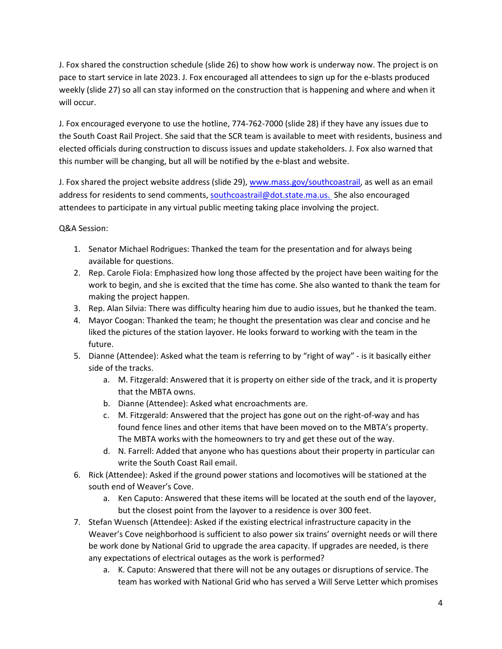J. Fox shared the construction schedule (slide 26) to show how work is underway now. The project is on pace to start service in late 2023. J. Fox encouraged all attendees to sign up for the e-blasts produced weekly (slide 27) so all can stay informed on the construction that is happening and where and when it will occur.

J. Fox encouraged everyone to use the hotline, 774-762-7000 (slide 28) if they have any issues due to the South Coast Rail Project. She said that the SCR team is available to meet with residents, business and elected officials during construction to discuss issues and update stakeholders. J. Fox also warned that this number will be changing, but all will be notified by the e-blast and website.

J. Fox shared the project website address (slide 29)[, www.mass.gov/southcoastrail,](http://www.mass.gov/southcoastrail) as well as an email address for residents to send comments[, southcoastrail@dot.state.ma.us.](mailto:southcoastrail@dot.state.ma.us) She also encouraged attendees to participate in any virtual public meeting taking place involving the project.

## Q&A Session:

- 1. Senator Michael Rodrigues: Thanked the team for the presentation and for always being available for questions.
- 2. Rep. Carole Fiola: Emphasized how long those affected by the project have been waiting for the work to begin, and she is excited that the time has come. She also wanted to thank the team for making the project happen.
- 3. Rep. Alan Silvia: There was difficulty hearing him due to audio issues, but he thanked the team.
- 4. Mayor Coogan: Thanked the team; he thought the presentation was clear and concise and he liked the pictures of the station layover. He looks forward to working with the team in the future.
- 5. Dianne (Attendee): Asked what the team is referring to by "right of way" is it basically either side of the tracks.
	- a. M. Fitzgerald: Answered that it is property on either side of the track, and it is property that the MBTA owns.
	- b. Dianne (Attendee): Asked what encroachments are.
	- c. M. Fitzgerald: Answered that the project has gone out on the right-of-way and has found fence lines and other items that have been moved on to the MBTA's property. The MBTA works with the homeowners to try and get these out of the way.
	- d. N. Farrell: Added that anyone who has questions about their property in particular can write the South Coast Rail email.
- 6. Rick (Attendee): Asked if the ground power stations and locomotives will be stationed at the south end of Weaver's Cove.
	- a. Ken Caputo: Answered that these items will be located at the south end of the layover, but the closest point from the layover to a residence is over 300 feet.
- 7. Stefan Wuensch (Attendee): Asked if the existing electrical infrastructure capacity in the Weaver's Cove neighborhood is sufficient to also power six trains' overnight needs or will there be work done by National Grid to upgrade the area capacity. If upgrades are needed, is there any expectations of electrical outages as the work is performed?
	- a. K. Caputo: Answered that there will not be any outages or disruptions of service. The team has worked with National Grid who has served a Will Serve Letter which promises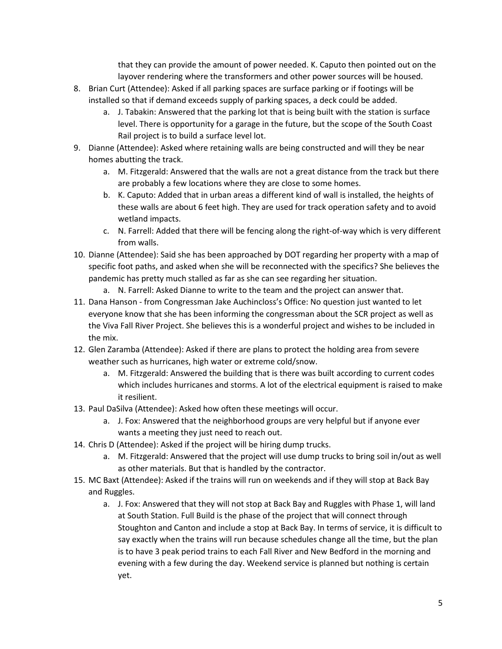that they can provide the amount of power needed. K. Caputo then pointed out on the layover rendering where the transformers and other power sources will be housed.

- 8. Brian Curt (Attendee): Asked if all parking spaces are surface parking or if footings will be installed so that if demand exceeds supply of parking spaces, a deck could be added.
	- a. J. Tabakin: Answered that the parking lot that is being built with the station is surface level. There is opportunity for a garage in the future, but the scope of the South Coast Rail project is to build a surface level lot.
- 9. Dianne (Attendee): Asked where retaining walls are being constructed and will they be near homes abutting the track.
	- a. M. Fitzgerald: Answered that the walls are not a great distance from the track but there are probably a few locations where they are close to some homes.
	- b. K. Caputo: Added that in urban areas a different kind of wall is installed, the heights of these walls are about 6 feet high. They are used for track operation safety and to avoid wetland impacts.
	- c. N. Farrell: Added that there will be fencing along the right-of-way which is very different from walls.
- 10. Dianne (Attendee): Said she has been approached by DOT regarding her property with a map of specific foot paths, and asked when she will be reconnected with the specifics? She believes the pandemic has pretty much stalled as far as she can see regarding her situation.
	- a. N. Farrell: Asked Dianne to write to the team and the project can answer that.
- 11. Dana Hanson from Congressman Jake Auchincloss's Office: No question just wanted to let everyone know that she has been informing the congressman about the SCR project as well as the Viva Fall River Project. She believes this is a wonderful project and wishes to be included in the mix.
- 12. Glen Zaramba (Attendee): Asked if there are plans to protect the holding area from severe weather such as hurricanes, high water or extreme cold/snow.
	- a. M. Fitzgerald: Answered the building that is there was built according to current codes which includes hurricanes and storms. A lot of the electrical equipment is raised to make it resilient.
- 13. Paul DaSilva (Attendee): Asked how often these meetings will occur.
	- a. J. Fox: Answered that the neighborhood groups are very helpful but if anyone ever wants a meeting they just need to reach out.
- 14. Chris D (Attendee): Asked if the project will be hiring dump trucks.
	- a. M. Fitzgerald: Answered that the project will use dump trucks to bring soil in/out as well as other materials. But that is handled by the contractor.
- 15. MC Baxt (Attendee): Asked if the trains will run on weekends and if they will stop at Back Bay and Ruggles.
	- a. J. Fox: Answered that they will not stop at Back Bay and Ruggles with Phase 1, will land at South Station. Full Build is the phase of the project that will connect through Stoughton and Canton and include a stop at Back Bay. In terms of service, it is difficult to say exactly when the trains will run because schedules change all the time, but the plan is to have 3 peak period trains to each Fall River and New Bedford in the morning and evening with a few during the day. Weekend service is planned but nothing is certain yet.